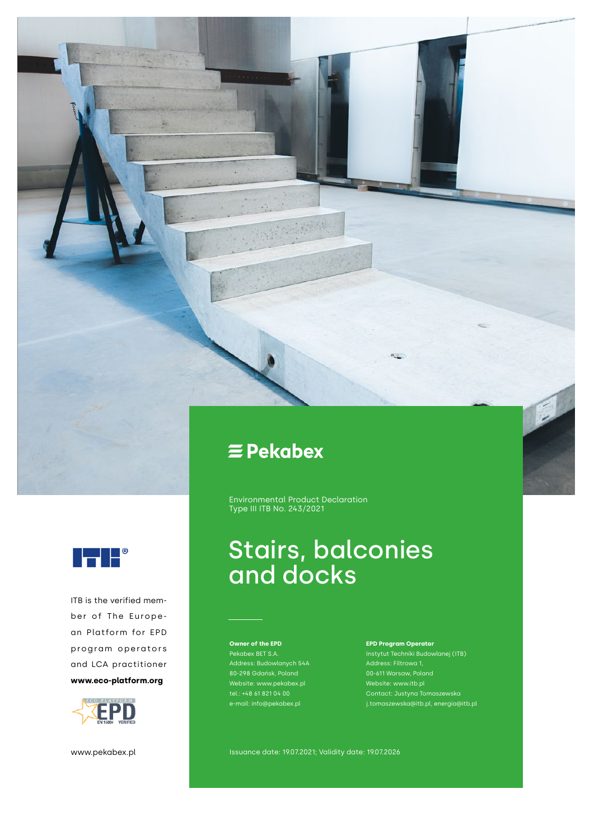

Environmental Product Declaration Type III ITB No. 243/2021

## Stairs, balconies and docks

**Owner of the EPD** Pekabex BET S.A. Address: Budowlanych 54A Website: www.pekabex.pl tel.: +48 61 821 04 00 e-mail: info@pekabex.pl

**EPD Program Operator**  Instytut Techniki Budowlanej (ITB) Website: www.itb.pl j.tomaszewska@itb.pl, energia@itb.pl

www.pekabex.pl **Issuance date: 19.07.2021; Validity date: 19.07.2026** 



ITB is the verified member of The European Platform for EPD program operators and LCA practitioner **www.eco-platform.org**

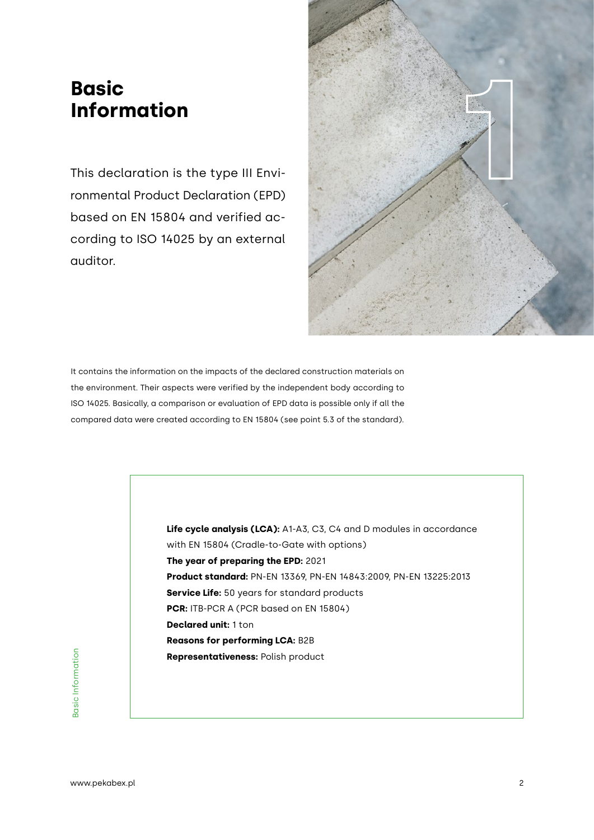### **Basic Information**

This declaration is the type III Environmental Product Declaration (EPD) based on EN 15804 and verified according to ISO 14025 by an external auditor.



It contains the information on the impacts of the declared construction materials on the environment. Their aspects were verified by the independent body according to ISO 14025. Basically, a comparison or evaluation of EPD data is possible only if all the compared data were created according to EN 15804 (see point 5.3 of the standard).

> **Life cycle analysis (LCA):** A1-A3, C3, C4 and D modules in accordance with EN 15804 (Cradle-to-Gate with options) **The year of preparing the EPD:** 2021 **Product standard:** PN-EN 13369, PN-EN 14843:2009, PN-EN 13225:2013 **Service Life:** 50 years for standard products **PCR:** ITB-PCR A (PCR based on EN 15804) **Declared unit:** 1 ton **Reasons for performing LCA:** B2B **Representativeness:** Polish product

Basic Information Basic Information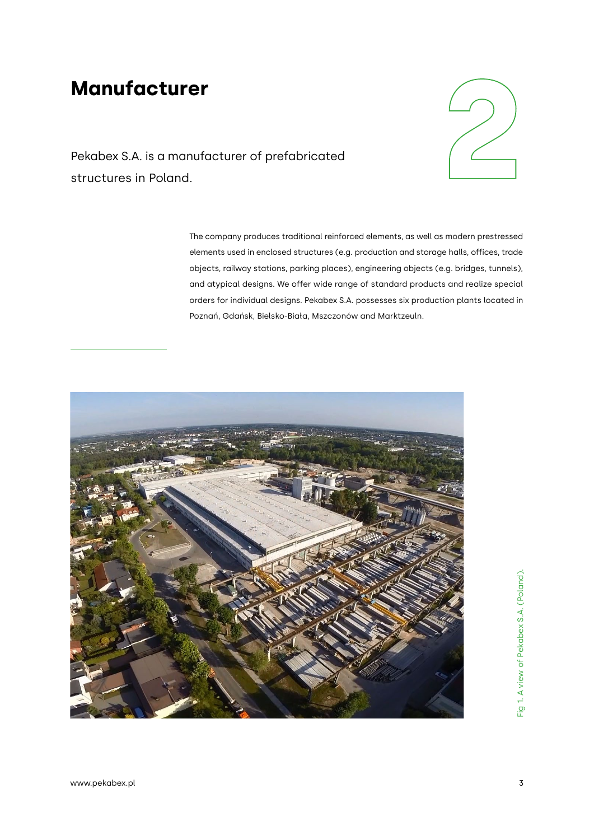### **Manufacturer**



Pekabex S.A. is a manufacturer of prefabricated

The company produces traditional reinforced elements, as well as modern prestressed elements used in enclosed structures (e.g. production and storage halls, offices, trade objects, railway stations, parking places), engineering objects (e.g. bridges, tunnels), and atypical designs. We offer wide range of standard products and realize special orders for individual designs. Pekabex S.A. possesses six production plants located in Poznań, Gdańsk, Bielsko-Biała, Mszczonów and Marktzeuln.

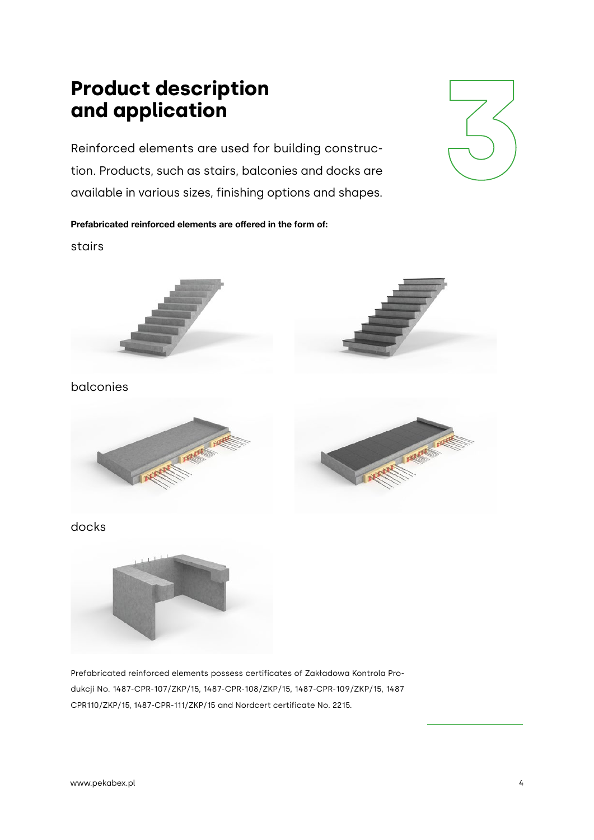## **Product description**

**and application 3** Reinforced elements are used for building construction. Products, such as stairs, balconies and docks are available in various sizes, finishing options and shapes.



**Prefabricated reinforced elements are offered in the form of:** stairs









#### docks



Prefabricated reinforced elements possess certificates of Zakładowa Kontrola Produkcji No. 1487-CPR-107/ZKP/15, 1487-CPR-108/ZKP/15, 1487-CPR-109/ZKP/15, 1487 CPR110/ZKP/15, 1487-CPR-111/ZKP/15 and Nordcert certificate No. 2215.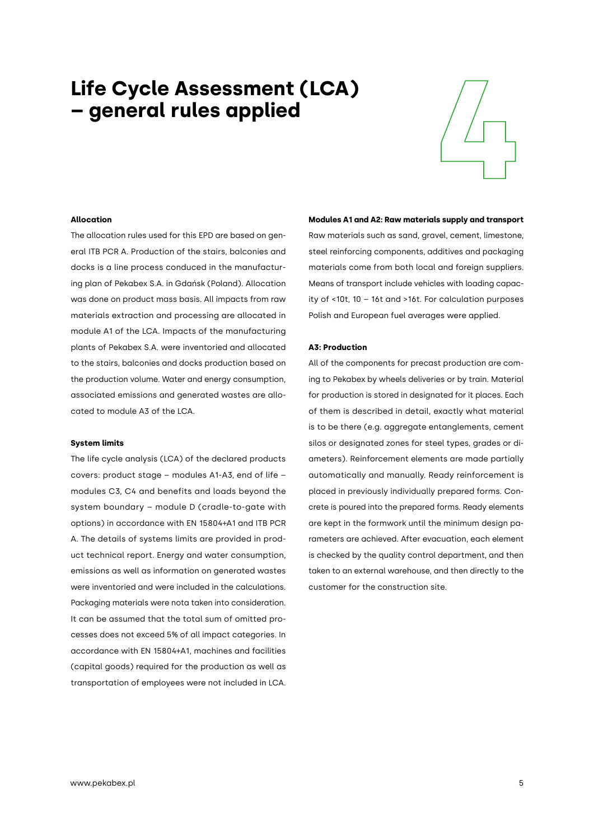# **4 Life Cycle Assessment (LCA) – general rules applied**



#### **Allocation**

The allocation rules used for this EPD are based on general ITB PCR A. Production of the stairs, balconies and docks is a line process conduced in the manufacturing plan of Pekabex S.A. in Gdańsk (Poland). Allocation was done on product mass basis. All impacts from raw materials extraction and processing are allocated in module A1 of the LCA. Impacts of the manufacturing plants of Pekabex S.A. were inventoried and allocated to the stairs, balconies and docks production based on the production volume. Water and energy consumption, associated emissions and generated wastes are allocated to module A3 of the LCA.

#### **System limits**

The life cycle analysis (LCA) of the declared products covers: product stage – modules A1-A3, end of life – modules C3, C4 and benefits and loads beyond the system boundary – module D (cradle-to-gate with options) in accordance with EN 15804+A1 and ITB PCR A. The details of systems limits are provided in product technical report. Energy and water consumption, emissions as well as information on generated wastes were inventoried and were included in the calculations. Packaging materials were nota taken into consideration. It can be assumed that the total sum of omitted processes does not exceed 5% of all impact categories. In accordance with EN 15804+A1, machines and facilities (capital goods) required for the production as well as transportation of employees were not included in LCA.

**Modules A1 and A2: Raw materials supply and transport**  Raw materials such as sand, gravel, cement, limestone, steel reinforcing components, additives and packaging materials come from both local and foreign suppliers. Means of transport include vehicles with loading capacity of <10t, 10 – 16t and >16t. For calculation purposes Polish and European fuel averages were applied.

#### **A3: Production**

All of the components for precast production are coming to Pekabex by wheels deliveries or by train. Material for production is stored in designated for it places. Each of them is described in detail, exactly what material is to be there (e.g. aggregate entanglements, cement silos or designated zones for steel types, grades or diameters). Reinforcement elements are made partially automatically and manually. Ready reinforcement is placed in previously individually prepared forms. Concrete is poured into the prepared forms. Ready elements are kept in the formwork until the minimum design parameters are achieved. After evacuation, each element is checked by the quality control department, and then taken to an external warehouse, and then directly to the customer for the construction site.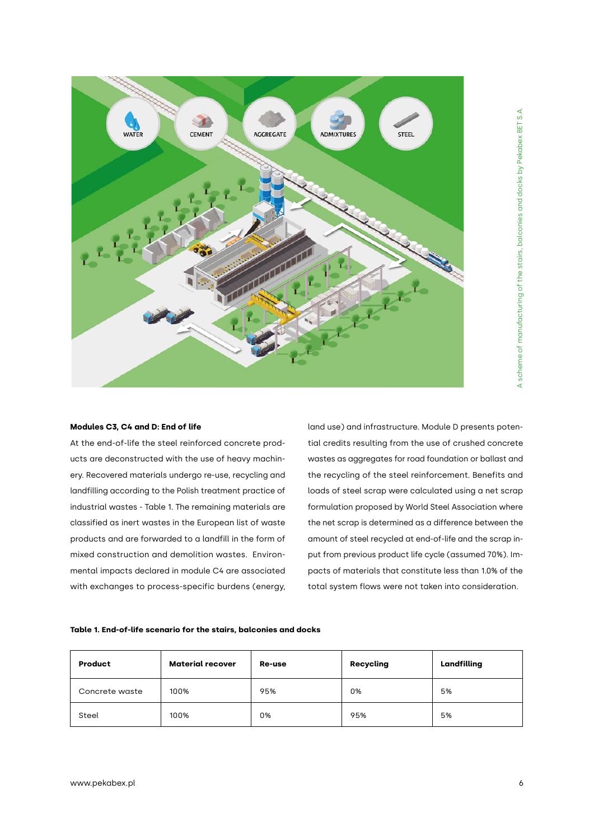

#### **Modules C3, C4 and D: End of life**

At the end-of-life the steel reinforced concrete products are deconstructed with the use of heavy machinery. Recovered materials undergo re-use, recycling and landfilling according to the Polish treatment practice of industrial wastes - Table 1. The remaining materials are classified as inert wastes in the European list of waste products and are forwarded to a landfill in the form of mixed construction and demolition wastes. Environmental impacts declared in module C4 are associated with exchanges to process-specific burdens (energy, land use) and infrastructure. Module D presents potential credits resulting from the use of crushed concrete wastes as aggregates for road foundation or ballast and the recycling of the steel reinforcement. Benefits and loads of steel scrap were calculated using a net scrap formulation proposed by World Steel Association where the net scrap is determined as a difference between the amount of steel recycled at end-of-life and the scrap input from previous product life cycle (assumed 70%). Impacts of materials that constitute less than 1.0% of the total system flows were not taken into consideration.

#### **Table 1. End-of-life scenario for the stairs, balconies and docks**

| Product        | <b>Material recover</b> | Re-use | Recycling | Landfilling |
|----------------|-------------------------|--------|-----------|-------------|
| Concrete waste | 100%                    | 95%    | 0%        | 5%          |
| Steel          | 100%                    | 0%     | 95%       | 5%          |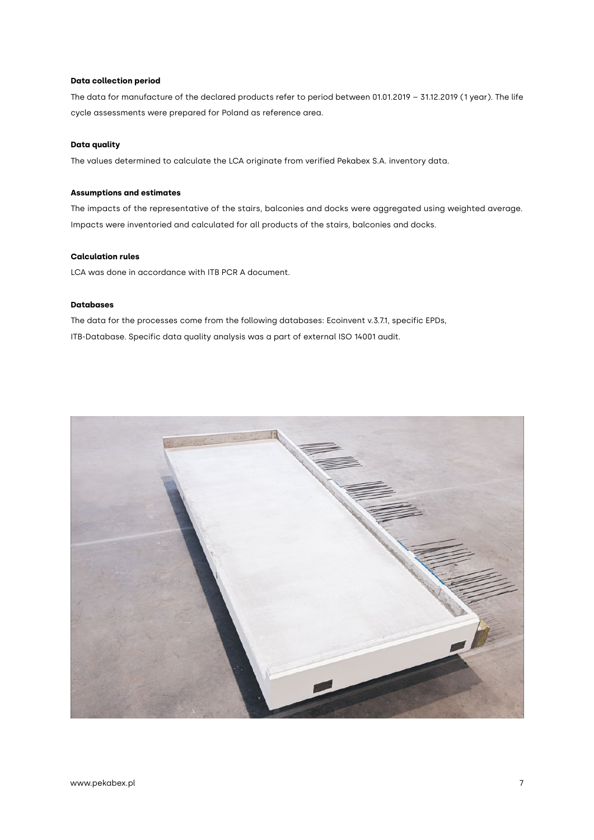#### **Data collection period**

The data for manufacture of the declared products refer to period between 01.01.2019 – 31.12.2019 (1 year). The life cycle assessments were prepared for Poland as reference area.

#### **Data quality**

The values determined to calculate the LCA originate from verified Pekabex S.A. inventory data.

#### **Assumptions and estimates**

The impacts of the representative of the stairs, balconies and docks were aggregated using weighted average. Impacts were inventoried and calculated for all products of the stairs, balconies and docks.

#### **Calculation rules**

LCA was done in accordance with ITB PCR A document.

#### **Databases**

The data for the processes come from the following databases: Ecoinvent v.3.7.1, specific EPDs, ITB-Database. Specific data quality analysis was a part of external ISO 14001 audit.

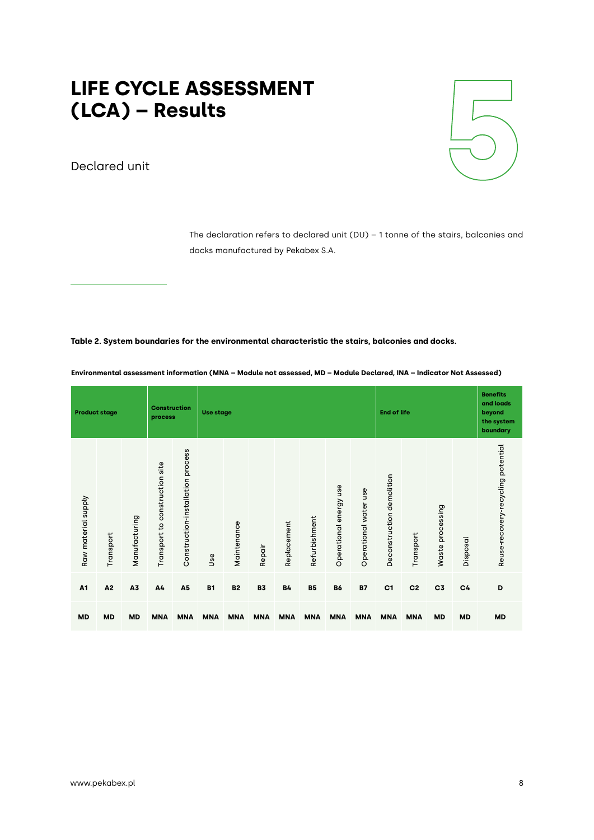# LIFE CYCLE ASSESSMENT<br>(LCA) – Results **LIFE CYCLE ASSESSMENT<br>
(LCA) – Results<br>
Declared unit**

Declared unit



The declaration refers to declared unit (DU) – 1 tonne of the stairs, balconies and docks manufactured by Pekabex S.A.

#### **Table 2. System boundaries for the environmental characteristic the stairs, balconies and docks.**

| <b>Product stage</b> |                |               | <b>Construction</b><br>process    |                                   |            | <b>Use stage</b> |            |             |               |                        | <b>End of life</b>    |                           |                |                     | <b>Benefits</b><br>and loads<br>beyond<br>the system<br>boundary |                                    |
|----------------------|----------------|---------------|-----------------------------------|-----------------------------------|------------|------------------|------------|-------------|---------------|------------------------|-----------------------|---------------------------|----------------|---------------------|------------------------------------------------------------------|------------------------------------|
| Raw material supply  | Transport      | Manufacturing | construction site<br>Transport to | Construction-installation process | Use        | Maintenance      | Repair     | Replacement | Refurbishment | Operational energy use | Operational water use | Deconstruction demolition | Transport      | processing<br>Waste | Disposal                                                         | Reuse-recovery-recycling potential |
| A <sub>1</sub>       | A <sub>2</sub> | A3            | A4                                | A <sub>5</sub>                    | <b>B1</b>  | <b>B2</b>        | <b>B3</b>  | <b>B4</b>   | <b>B5</b>     | <b>B6</b>              | <b>B7</b>             | C <sub>1</sub>            | C <sub>2</sub> | C <sub>3</sub>      | C <sub>4</sub>                                                   | D                                  |
| <b>MD</b>            | <b>MD</b>      | <b>MD</b>     | <b>MNA</b>                        | <b>MNA</b>                        | <b>MNA</b> | <b>MNA</b>       | <b>MNA</b> | <b>MNA</b>  | <b>MNA</b>    | <b>MNA</b>             | <b>MNA</b>            | <b>MNA</b>                | <b>MNA</b>     | <b>MD</b>           | <b>MD</b>                                                        | <b>MD</b>                          |

**Environmental assessment information (MNA – Module not assessed, MD – Module Declared, INA – Indicator Not Assessed)**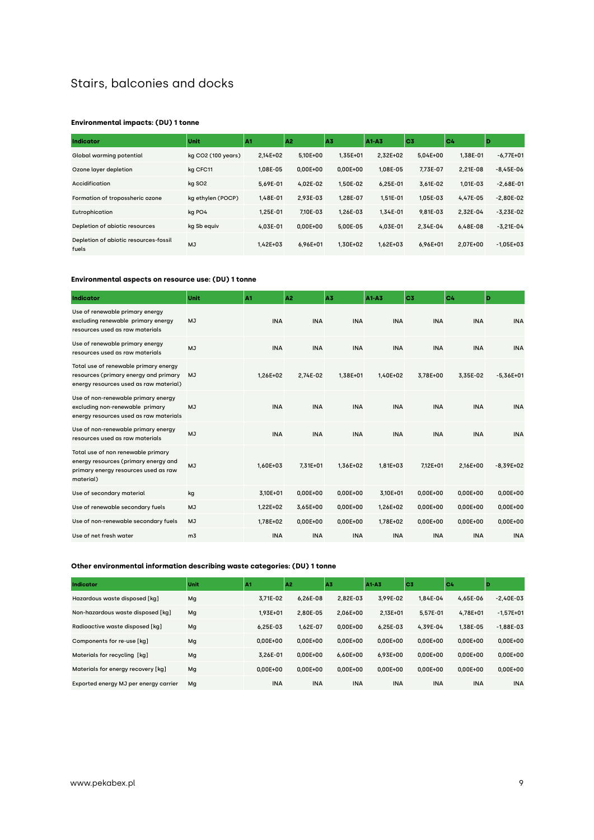#### Stairs, balconies and docks

#### **Environmental impacts: (DU) 1 tonne**

| <b>Indicator</b>                               | Unit               | IA1          | A <sub>2</sub> | A3           | A1-A3        | C <sub>3</sub> | C <sub>4</sub> | ID            |
|------------------------------------------------|--------------------|--------------|----------------|--------------|--------------|----------------|----------------|---------------|
| Global warming potential                       | kg CO2 (100 years) | $2.14E + 02$ | 5.10E+00       | $1.35E + 01$ | $2.32E + 02$ | $5.04E + 00$   | 1.38E-01       | $-6.77E + 01$ |
| Ozone layer depletion                          | kg CFC11           | 1.08E-05     | $0.00E + 00$   | $0.00E + 00$ | 1.08E-05     | 7.73E-07       | $2.21E-08$     | $-8.45E-06$   |
| Accidification                                 | kg SO <sub>2</sub> | 5.69E-01     | 4.02E-02       | 1.50E-02     | $6.25E - 01$ | 3.61E-02       | 1.01E-03       | $-2.68E-01$   |
| Formation of tropossheric ozone                | kg ethylen (POCP)  | 1.48E-01     | 2.93E-03       | 1.28E-07     | $1.51E - 01$ | 1.05E-03       | 4.47E-05       | $-2.80E-02$   |
| Eutrophication                                 | kg PO4             | 1.25E-01     | 7.10E-03       | 1.26E-03     | 1.34E-01     | 9.81E-03       | 2.32E-04       | $-3.23E-02$   |
| Depletion of abiotic resources                 | kg Sb equiv        | 4.03E-01     | $0.00E + 00$   | 5.00E-05     | 4.03E-01     | 2.34E-04       | $6.48E - 08$   | $-3.21E-04$   |
| Depletion of abiotic resources-fossil<br>fuels | MJ                 | $1.42E + 03$ | 6.96E+01       | 1.30E+02     | $1.62E + 03$ | 6.96E+01       | 2.07E+00       | $-1.05E + 03$ |

#### **Environmental aspects on resource use: (DU) 1 tonne**

| <b>Indicator</b>                                                                                                                | Unit           | A1         | A <sub>2</sub> | A3         | A1-A3        | C <sub>3</sub> | C4         | D           |
|---------------------------------------------------------------------------------------------------------------------------------|----------------|------------|----------------|------------|--------------|----------------|------------|-------------|
| Use of renewable primary energy<br>excluding renewable primary energy<br>resources used as raw materials                        | <b>MJ</b>      | <b>INA</b> | <b>INA</b>     | <b>INA</b> | <b>INA</b>   | <b>INA</b>     | <b>INA</b> | <b>INA</b>  |
| Use of renewable primary energy<br>resources used as raw materials                                                              | <b>MJ</b>      | <b>INA</b> | <b>INA</b>     | <b>INA</b> | <b>INA</b>   | <b>INA</b>     | <b>INA</b> | <b>INA</b>  |
| Total use of renewable primary energy<br>resources (primary energy and primary<br>energy resources used as raw material)        | <b>MJ</b>      | 1,26E+02   | 2,74E-02       | 1,38E+01   | 1,40E+02     | 3.78E+00       | 3.35E-02   | $-5,36E+01$ |
| Use of non-renewable primary energy<br>excluding non-renewable primary<br>energy resources used as raw materials                | MJ             | <b>INA</b> | <b>INA</b>     | <b>INA</b> | <b>INA</b>   | <b>INA</b>     | <b>INA</b> | <b>INA</b>  |
| Use of non-renewable primary energy<br>resources used as raw materials                                                          | MJ             | <b>INA</b> | <b>INA</b>     | <b>INA</b> | <b>INA</b>   | <b>INA</b>     | <b>INA</b> | <b>INA</b>  |
| Total use of non renewable primary<br>energy resources (primary energy and<br>primary energy resources used as raw<br>material) | <b>MJ</b>      | 1,60E+03   | $7.31E + 01$   | 1,36E+02   | 1,81E+03     | 7.12E+01       | 2.16E+00   | $-8,39E+02$ |
| Use of secondary material                                                                                                       | kg             | 3,10E+01   | $0,00E+00$     | $0,00E+00$ | 3,10E+01     | $0,00E+00$     | $0,00E+00$ | $0,00E+00$  |
| Use of renewable secondary fuels                                                                                                | <b>MJ</b>      | 1,22E+02   | 3,65E+00       | $0,00E+00$ | $1.26E + 02$ | $0,00E+00$     | $0,00E+00$ | $0,00E+00$  |
| Use of non-renewable secondary fuels                                                                                            | <b>MJ</b>      | 1,78E+02   | $0,00E+00$     | $0,00E+00$ | 1,78E+02     | $0,00E+00$     | $0,00E+00$ | $0,00E+00$  |
| Use of net fresh water                                                                                                          | m <sub>3</sub> | <b>INA</b> | <b>INA</b>     | <b>INA</b> | <b>INA</b>   | <b>INA</b>     | <b>INA</b> | <b>INA</b>  |

#### **Other environmental information describing waste categories: (DU) 1 tonne**

| Indicator                             | Unit | A1           | A <sub>2</sub> | A3           | A1-A3        | lc3          | C <sub>4</sub> | ID            |
|---------------------------------------|------|--------------|----------------|--------------|--------------|--------------|----------------|---------------|
| Hazardous waste disposed [kq]         | Mg   | 3.71E-02     | $6.26E-08$     | 2.82E-03     | 3.99E-02     | 1.84E-04     | 4.65E-06       | $-2.40E-03$   |
| Non-hazardous waste disposed [kq]     | Mg   | $1.93E + 01$ | 2.80E-05       | 2.06E+00     | 2.13E+01     | 5.57E-01     | 4.78E+01       | $-1.57E + 01$ |
| Radioactive waste disposed [kq]       | Mg   | $6.25E - 03$ | 1.62E-07       | $0.00E + 00$ | $6.25E-03$   | 4.39E-04     | 1.38E-05       | $-1.88E - 03$ |
| Components for re-use [kq]            | Mg   | $0.00E + 00$ | $0.00E + 00$   | $0.00E + 00$ | $0.00E + 00$ | $0.00E + 00$ | $0.00E + 00$   | $0.00E + 00$  |
| Materials for recycling [kg]          | Mg   | 3.26E-01     | $0.00E + 00$   | $6.60E + 00$ | 6.93E+00     | $0.00E + 00$ | $0.00E + 00$   | $0.00E + 00$  |
| Materials for energy recovery [kg]    | Mg   | $0.00E + 00$ | $0.00E + 00$   | $0.00E + 00$ | $0.00E + 00$ | $0.00E + 00$ | $0.00E + 00$   | $0.00E + 00$  |
| Exported energy MJ per energy carrier | Mq   | <b>INA</b>   | <b>INA</b>     | <b>INA</b>   | <b>INA</b>   | <b>INA</b>   | <b>INA</b>     | <b>INA</b>    |